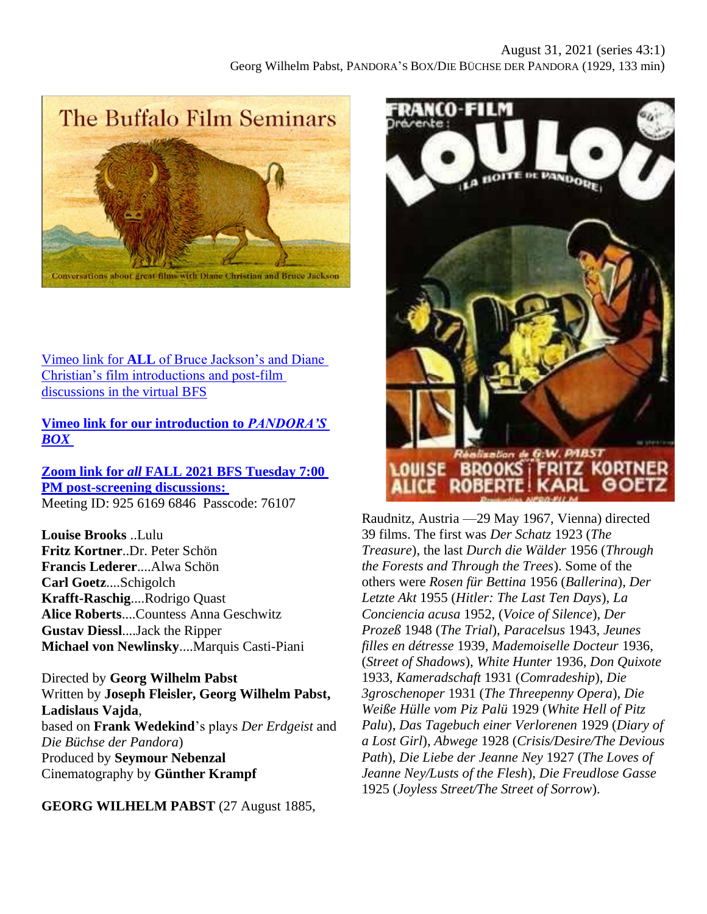

Vimeo link for **ALL** [of Bruce Jackson's and Diane](https://vimeo.com/user80710589)  [Christian's film introductions and post-film](https://vimeo.com/user80710589)  [discussions in the virtual BFS](https://vimeo.com/user80710589)

## **Vimeo [link for our introduction to](https://vimeo.com/593885628)** *PANDORA'S [BOX](https://vimeo.com/593885628)*

# **Zoom link for** *all* **FALL [2021 BFS Tuesday 7:00](https://buffalo.zoom.us/j/92561696846?pwd=Slc3Ym1yNUp2WkJRV3N5UmpDS0NSdz09)  [PM post-screening discussions:](https://buffalo.zoom.us/j/92561696846?pwd=Slc3Ym1yNUp2WkJRV3N5UmpDS0NSdz09)**

Meeting ID: 925 6169 6846 Passcode: 76107

**Louise Brooks** ..Lulu **Fritz Kortner**..Dr. Peter Schön **Francis Lederer**....Alwa Schön **Carl Goetz**....Schigolch **Krafft-Raschig**....Rodrigo Quast **Alice Roberts**....Countess Anna Geschwitz **Gustav Diessl**....Jack the Ripper **Michael von Newlinsky**....Marquis Casti-Piani

Directed by **Georg Wilhelm Pabst**  Written by **Joseph Fleisler, Georg Wilhelm Pabst, Ladislaus Vajda**, based on **Frank Wedekind**'s plays *Der Erdgeist* and *Die Büchse der Pandora*) Produced by **Seymour Nebenzal**  Cinematography by **Günther Krampf** 

**GEORG WILHELM PABST** (27 August 1885,



Raudnitz, Austria —29 May 1967, Vienna) directed 39 films. The first was *Der Schatz* 1923 (*The Treasure*), the last *Durch die Wälder* 1956 (*Through the Forests and Through the Trees*). Some of the others were *Rosen für Bettina* 1956 (*Ballerina*), *Der Letzte Akt* 1955 (*Hitler: The Last Ten Days*), *La Conciencia acusa* 1952, (*Voice of Silence*), *Der Prozeß* 1948 (*The Trial*), *Paracelsus* 1943, *Jeunes filles en détresse* 1939, *Mademoiselle Docteur* 1936, (*Street of Shadows*), *White Hunter* 1936, *Don Quixote* 1933, *Kameradschaft* 1931 (*Comradeship*), *Die 3groschenoper* 1931 (*The Threepenny Opera*), *Die Weiße Hülle vom Piz Palü* 1929 (*White Hell of Pitz Palu*), *Das Tagebuch einer Verlorenen* 1929 (*Diary of a Lost Girl*), *Abwege* 1928 (*Crisis/Desire/The Devious Path*), *Die Liebe der Jeanne Ney* 1927 (*The Loves of Jeanne Ney/Lusts of the Flesh*), *Die Freudlose Gasse* 1925 (*Joyless Street/The Street of Sorrow*).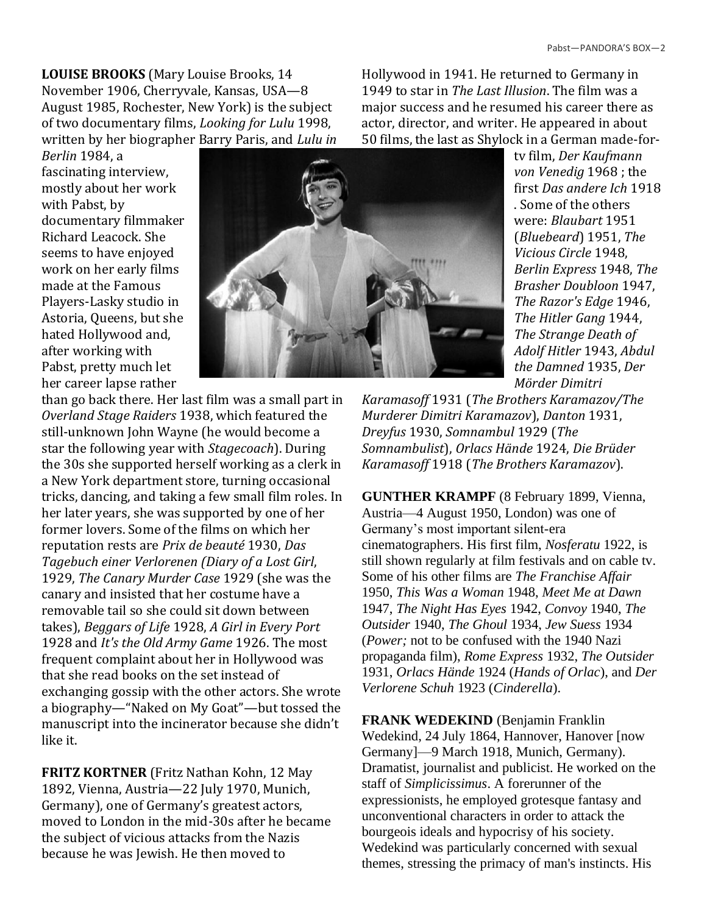**LOUISE BROOKS** (Mary Louise Brooks, 14 November 1906, Cherryvale, Kansas, USA—8 August 1985, Rochester, New York) is the subject of two documentary films, *Looking for Lulu* 1998, written by her biographer Barry Paris, and *Lulu in*  Hollywood in 1941. He returned to Germany in 1949 to star in *The Last Illusion*. The film was a major success and he resumed his career there as actor, director, and writer. He appeared in about 50 films, the last as Shylock in a German made-for-

*Berlin* 1984, a fascinating interview, mostly about her work with Pabst, by documentary filmmaker Richard Leacock. She seems to have enjoyed work on her early films made at the Famous Players-Lasky studio in Astoria, Queens, but she hated Hollywood and, after working with Pabst, pretty much let her career lapse rather



tv film, *Der Kaufmann von Venedig* 1968 ; the first *Das andere Ich* 1918 . Some of the others were: *Blaubart* 1951 (*Bluebeard*) 1951, *The Vicious Circle* 1948, *Berlin Express* 1948, *The Brasher Doubloon* 1947, *The Razor's Edge* 1946, *The Hitler Gang* 1944, *The Strange Death of Adolf Hitler* 1943, *Abdul the Damned* 1935, *Der Mörder Dimitri* 

than go back there. Her last film was a small part in *Overland Stage Raiders* 1938, which featured the still-unknown John Wayne (he would become a star the following year with *Stagecoach*). During the 30s she supported herself working as a clerk in a New York department store, turning occasional tricks, dancing, and taking a few small film roles. In her later years, she was supported by one of her former lovers. Some of the films on which her reputation rests are *Prix de beauté* 1930, *Das Tagebuch einer Verlorenen (Diary of a Lost Girl*, 1929, *The Canary Murder Case* 1929 (she was the canary and insisted that her costume have a removable tail so she could sit down between takes), *Beggars of Life* 1928, *A Girl in Every Port* 1928 and *It's the Old Army Game* 1926. The most frequent complaint about her in Hollywood was that she read books on the set instead of exchanging gossip with the other actors. She wrote a biography—"Naked on My Goat"—but tossed the manuscript into the incinerator because she didn't like it.

**FRITZ KORTNER** (Fritz Nathan Kohn, 12 May 1892, Vienna, Austria—22 July 1970, Munich, Germany), one of Germany's greatest actors, moved to London in the mid-30s after he became the subject of vicious attacks from the Nazis because he was Jewish. He then moved to

*Karamasoff* 1931 (*The Brothers Karamazov/The Murderer Dimitri Karamazov*), *Danton* 1931, *Dreyfus* 1930, *Somnambul* 1929 (*The Somnambulist*), *Orlacs Hände* 1924, *Die Brüder Karamasoff* 1918 (*The Brothers Karamazov*).

**GUNTHER KRAMPF** (8 February 1899, Vienna, Austria—4 August 1950, London) was one of Germany's most important silent-era cinematographers. His first film, *Nosferatu* 1922, is still shown regularly at film festivals and on cable tv. Some of his other films are *The Franchise Affair* 1950, *This Was a Woman* 1948, *Meet Me at Dawn* 1947, *The Night Has Eyes* 1942, *Convoy* 1940, *The Outsider* 1940, *The Ghoul* 1934, *Jew Suess* 1934 (*Power;* not to be confused with the 1940 Nazi propaganda film), *Rome Express* 1932, *The Outsider* 1931, *Orlacs Hände* 1924 (*Hands of Orlac*), and *Der Verlorene Schuh* 1923 (*Cinderella*).

**FRANK WEDEKIND** (Benjamin Franklin Wedekind, 24 July 1864, Hannover, Hanover [now Germany]—9 March 1918, Munich, Germany). Dramatist, journalist and publicist. He worked on the staff of *Simplicissimus*. A forerunner of the expressionists, he employed grotesque fantasy and unconventional characters in order to attack the bourgeois ideals and hypocrisy of his society. Wedekind was particularly concerned with sexual themes, stressing the primacy of man's instincts. His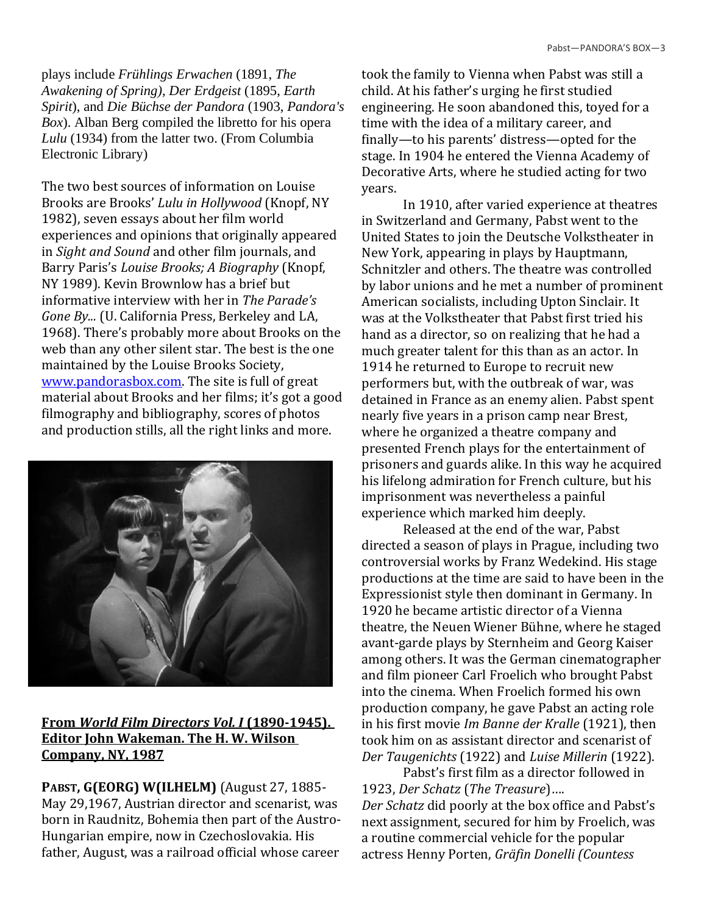plays include *Frühlings Erwachen* (1891, *The Awakening of Spring), Der Erdgeist* (1895, *Earth Spirit*), and *Die Büchse der Pandora* (1903, *Pandora's Box*). Alban Berg compiled the libretto for his opera *Lulu* (1934) from the latter two. (From Columbia Electronic Library)

The two best sources of information on Louise Brooks are Brooks' *Lulu in Hollywood* (Knopf, NY 1982), seven essays about her film world experiences and opinions that originally appeared in *Sight and Sound* and other film journals, and Barry Paris's *Louise Brooks; A Biography* (Knopf, NY 1989). Kevin Brownlow has a brief but informative interview with her in *The Parade's Gone By...* (U. California Press, Berkeley and LA, 1968). There's probably more about Brooks on the web than any other silent star. The best is the one maintained by the Louise Brooks Society, www.pandorasbox.com. The site is full of great material about Brooks and her films; it's got a good filmography and bibliography, scores of photos and production stills, all the right links and more.



# **From** *World Film Directors Vol. I* **(1890-1945). Editor John Wakeman. The H. W. Wilson Company, NY, 1987**

**PABST, G(EORG) W(ILHELM)** (August 27, 1885- May 29,1967, Austrian director and scenarist, was born in Raudnitz, Bohemia then part of the Austro-Hungarian empire, now in Czechoslovakia. His father, August, was a railroad official whose career

took the family to Vienna when Pabst was still a child. At his father's urging he first studied engineering. He soon abandoned this, toyed for a time with the idea of a military career, and finally—to his parents' distress—opted for the stage. In 1904 he entered the Vienna Academy of Decorative Arts, where he studied acting for two years.

In 1910, after varied experience at theatres in Switzerland and Germany, Pabst went to the United States to join the Deutsche Volkstheater in New York, appearing in plays by Hauptmann, Schnitzler and others. The theatre was controlled by labor unions and he met a number of prominent American socialists, including Upton Sinclair. It was at the Volkstheater that Pabst first tried his hand as a director, so on realizing that he had a much greater talent for this than as an actor. In 1914 he returned to Europe to recruit new performers but, with the outbreak of war, was detained in France as an enemy alien. Pabst spent nearly five years in a prison camp near Brest, where he organized a theatre company and presented French plays for the entertainment of prisoners and guards alike. In this way he acquired his lifelong admiration for French culture, but his imprisonment was nevertheless a painful experience which marked him deeply.

Released at the end of the war, Pabst directed a season of plays in Prague, including two controversial works by Franz Wedekind. His stage productions at the time are said to have been in the Expressionist style then dominant in Germany. In 1920 he became artistic director of a Vienna theatre, the Neuen Wiener Bühne, where he staged avant-garde plays by Sternheim and Georg Kaiser among others. It was the German cinematographer and film pioneer Carl Froelich who brought Pabst into the cinema. When Froelich formed his own production company, he gave Pabst an acting role in his first movie *Im Banne der Kralle* (1921), then took him on as assistant director and scenarist of *Der Taugenichts* (1922) and *Luise Millerin* (1922).

Pabst's first film as a director followed in 1923, *Der Schatz* (*The Treasure*)…. *Der Schatz* did poorly at the box office and Pabst's next assignment, secured for him by Froelich, was a routine commercial vehicle for the popular actress Henny Porten, *Gräfin Donelli (Countess*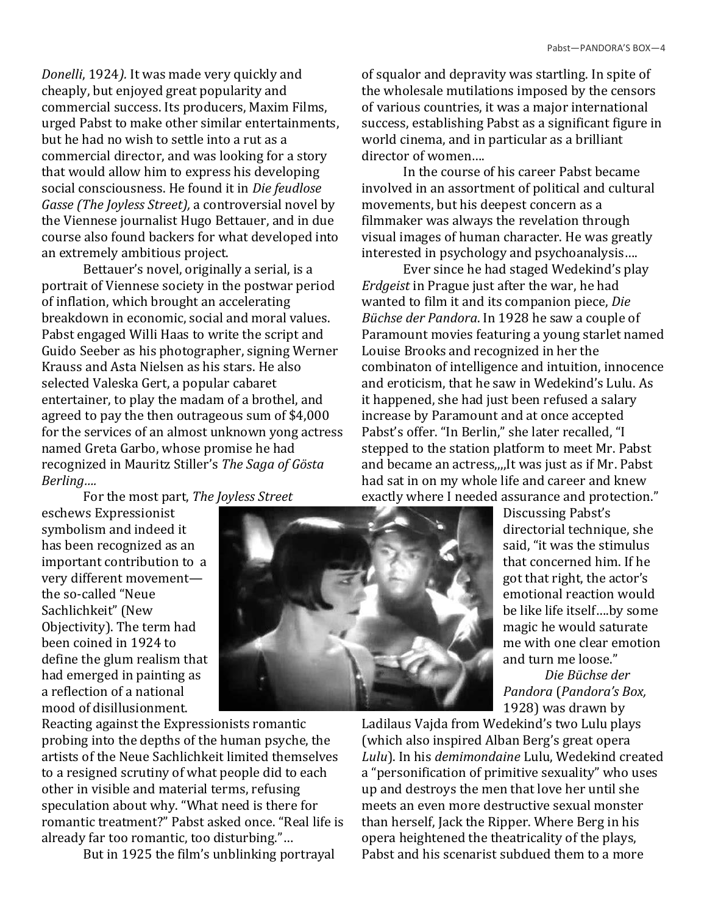*Donelli*, 1924*).* It was made very quickly and cheaply, but enjoyed great popularity and commercial success. Its producers, Maxim Films, urged Pabst to make other similar entertainments, but he had no wish to settle into a rut as a commercial director, and was looking for a story that would allow him to express his developing social consciousness. He found it in *Die feudlose Gasse (The Joyless Street),* a controversial novel by the Viennese journalist Hugo Bettauer, and in due course also found backers for what developed into an extremely ambitious project.

Bettauer's novel, originally a serial, is a portrait of Viennese society in the postwar period of inflation, which brought an accelerating breakdown in economic, social and moral values. Pabst engaged Willi Haas to write the script and Guido Seeber as his photographer, signing Werner Krauss and Asta Nielsen as his stars. He also selected Valeska Gert, a popular cabaret entertainer, to play the madam of a brothel, and agreed to pay the then outrageous sum of \$4,000 for the services of an almost unknown yong actress named Greta Garbo, whose promise he had recognized in Mauritz Stiller's *The Saga of Gösta Berling….*

For the most part, *The Joyless Street* 

eschews Expressionist symbolism and indeed it has been recognized as an important contribution to a very different movement the so-called "Neue Sachlichkeit" (New Objectivity). The term had been coined in 1924 to define the glum realism that had emerged in painting as a reflection of a national mood of disillusionment.

Reacting against the Expressionists romantic probing into the depths of the human psyche, the artists of the Neue Sachlichkeit limited themselves to a resigned scrutiny of what people did to each other in visible and material terms, refusing speculation about why. "What need is there for romantic treatment?" Pabst asked once. "Real life is already far too romantic, too disturbing."…

But in 1925 the film's unblinking portrayal

of squalor and depravity was startling. In spite of the wholesale mutilations imposed by the censors of various countries, it was a major international success, establishing Pabst as a significant figure in world cinema, and in particular as a brilliant director of women….

In the course of his career Pabst became involved in an assortment of political and cultural movements, but his deepest concern as a filmmaker was always the revelation through visual images of human character. He was greatly interested in psychology and psychoanalysis….

Ever since he had staged Wedekind's play *Erdgeist* in Prague just after the war, he had wanted to film it and its companion piece, *Die Büchse der Pandora*. In 1928 he saw a couple of Paramount movies featuring a young starlet named Louise Brooks and recognized in her the combinaton of intelligence and intuition, innocence and eroticism, that he saw in Wedekind's Lulu. As it happened, she had just been refused a salary increase by Paramount and at once accepted Pabst's offer. "In Berlin," she later recalled, "I stepped to the station platform to meet Mr. Pabst and became an actress,,,,It was just as if Mr. Pabst had sat in on my whole life and career and knew exactly where I needed assurance and protection."

> Discussing Pabst's directorial technique, she said, "it was the stimulus that concerned him. If he got that right, the actor's emotional reaction would be like life itself….by some magic he would saturate me with one clear emotion and turn me loose."

*Die Büchse der Pandora* (*Pandora's Box,*  1928) was drawn by

Ladilaus Vajda from Wedekind's two Lulu plays (which also inspired Alban Berg's great opera *Lulu*). In his *demimondaine* Lulu, Wedekind created a "personification of primitive sexuality" who uses up and destroys the men that love her until she meets an even more destructive sexual monster than herself, Jack the Ripper. Where Berg in his opera heightened the theatricality of the plays, Pabst and his scenarist subdued them to a more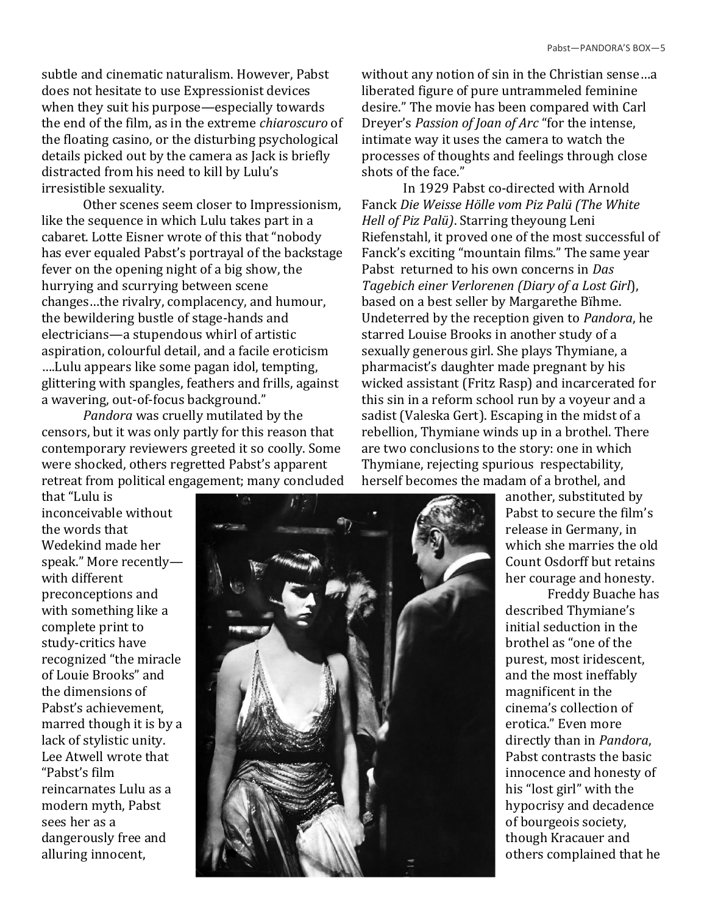subtle and cinematic naturalism. However, Pabst does not hesitate to use Expressionist devices when they suit his purpose—especially towards the end of the film, as in the extreme *chiaroscuro* of the floating casino, or the disturbing psychological details picked out by the camera as Jack is briefly distracted from his need to kill by Lulu's irresistible sexuality.

Other scenes seem closer to Impressionism, like the sequence in which Lulu takes part in a cabaret. Lotte Eisner wrote of this that "nobody has ever equaled Pabst's portrayal of the backstage fever on the opening night of a big show, the hurrying and scurrying between scene changes…the rivalry, complacency, and humour, the bewildering bustle of stage-hands and electricians—a stupendous whirl of artistic aspiration, colourful detail, and a facile eroticism ….Lulu appears like some pagan idol, tempting, glittering with spangles, feathers and frills, against a wavering, out-of-focus background."

*Pandora* was cruelly mutilated by the censors, but it was only partly for this reason that contemporary reviewers greeted it so coolly. Some were shocked, others regretted Pabst's apparent retreat from political engagement; many concluded without any notion of sin in the Christian sense…a liberated figure of pure untrammeled feminine desire." The movie has been compared with Carl Dreyer's *Passion of Joan of Arc* "for the intense, intimate way it uses the camera to watch the processes of thoughts and feelings through close shots of the face."

In 1929 Pabst co-directed with Arnold Fanck *Die Weisse Hölle vom Piz Palü (The White Hell of Piz Palü)*. Starring theyoung Leni Riefenstahl, it proved one of the most successful of Fanck's exciting "mountain films." The same year Pabst returned to his own concerns in *Das Tagebich einer Verlorenen (Diary of a Lost Girl*), based on a best seller by Margarethe Bïhme. Undeterred by the reception given to *Pandora*, he starred Louise Brooks in another study of a sexually generous girl. She plays Thymiane, a pharmacist's daughter made pregnant by his wicked assistant (Fritz Rasp) and incarcerated for this sin in a reform school run by a voyeur and a sadist (Valeska Gert). Escaping in the midst of a rebellion, Thymiane winds up in a brothel. There are two conclusions to the story: one in which Thymiane, rejecting spurious respectability, herself becomes the madam of a brothel, and

> another, substituted by Pabst to secure the film's release in Germany, in which she marries the old Count Osdorff but retains her courage and honesty.

Freddy Buache has described Thymiane's initial seduction in the brothel as "one of the purest, most iridescent, and the most ineffably magnificent in the cinema's collection of erotica." Even more directly than in *Pandora*, Pabst contrasts the basic innocence and honesty of his "lost girl" with the hypocrisy and decadence of bourgeois society, though Kracauer and others complained that he

that "Lulu is inconceivable without the words that Wedekind made her speak." More recently with different preconceptions and with something like a complete print to study-critics have recognized "the miracle of Louie Brooks" and the dimensions of Pabst's achievement, marred though it is by a lack of stylistic unity. Lee Atwell wrote that "Pabst's film reincarnates Lulu as a modern myth, Pabst sees her as a dangerously free and alluring innocent,

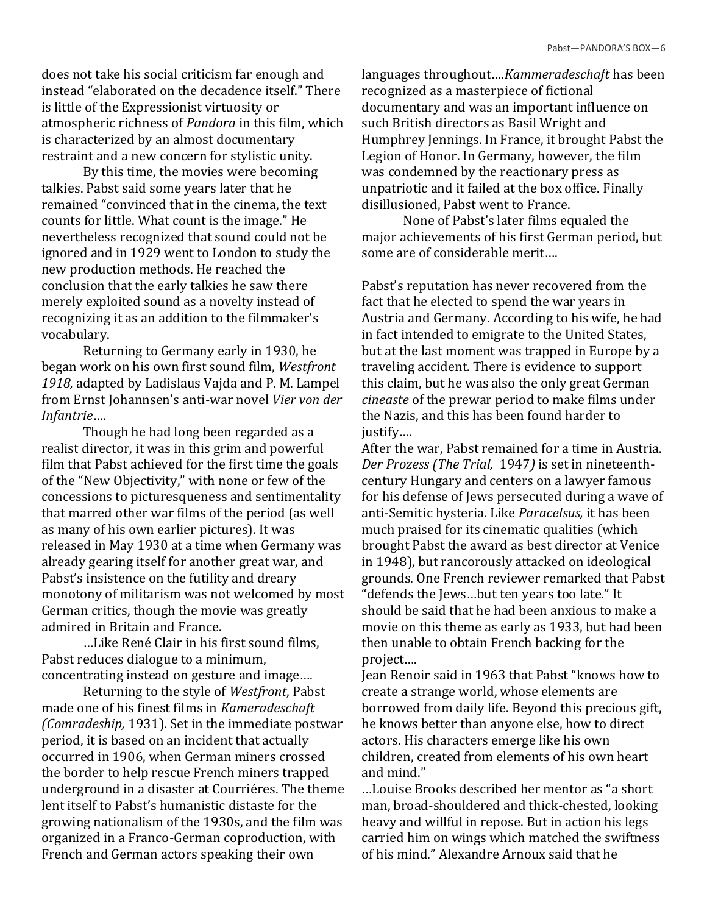does not take his social criticism far enough and instead "elaborated on the decadence itself." There is little of the Expressionist virtuosity or atmospheric richness of *Pandora* in this film, which is characterized by an almost documentary restraint and a new concern for stylistic unity.

By this time, the movies were becoming talkies. Pabst said some years later that he remained "convinced that in the cinema, the text counts for little. What count is the image." He nevertheless recognized that sound could not be ignored and in 1929 went to London to study the new production methods. He reached the conclusion that the early talkies he saw there merely exploited sound as a novelty instead of recognizing it as an addition to the filmmaker's vocabulary.

Returning to Germany early in 1930, he began work on his own first sound film, *Westfront 1918,* adapted by Ladislaus Vajda and P. M. Lampel from Ernst Johannsen's anti-war novel *Vier von der Infantrie*….

Though he had long been regarded as a realist director, it was in this grim and powerful film that Pabst achieved for the first time the goals of the "New Objectivity," with none or few of the concessions to picturesqueness and sentimentality that marred other war films of the period (as well as many of his own earlier pictures). It was released in May 1930 at a time when Germany was already gearing itself for another great war, and Pabst's insistence on the futility and dreary monotony of militarism was not welcomed by most German critics, though the movie was greatly admired in Britain and France.

…Like René Clair in his first sound films, Pabst reduces dialogue to a minimum, concentrating instead on gesture and image….

Returning to the style of *Westfront*, Pabst made one of his finest films in *Kameradeschaft (Comradeship,* 1931). Set in the immediate postwar period, it is based on an incident that actually occurred in 1906, when German miners crossed the border to help rescue French miners trapped underground in a disaster at Courriéres. The theme lent itself to Pabst's humanistic distaste for the growing nationalism of the 1930s, and the film was organized in a Franco-German coproduction, with French and German actors speaking their own

languages throughout….*Kammeradeschaft* has been recognized as a masterpiece of fictional documentary and was an important influence on such British directors as Basil Wright and Humphrey Jennings. In France, it brought Pabst the Legion of Honor. In Germany, however, the film was condemned by the reactionary press as unpatriotic and it failed at the box office. Finally disillusioned, Pabst went to France.

None of Pabst's later films equaled the major achievements of his first German period, but some are of considerable merit….

Pabst's reputation has never recovered from the fact that he elected to spend the war years in Austria and Germany. According to his wife, he had in fact intended to emigrate to the United States, but at the last moment was trapped in Europe by a traveling accident. There is evidence to support this claim, but he was also the only great German *cineaste* of the prewar period to make films under the Nazis, and this has been found harder to justify….

After the war, Pabst remained for a time in Austria. *Der Prozess (The Trial,* 1947*)* is set in nineteenthcentury Hungary and centers on a lawyer famous for his defense of Jews persecuted during a wave of anti-Semitic hysteria. Like *Paracelsus,* it has been much praised for its cinematic qualities (which brought Pabst the award as best director at Venice in 1948), but rancorously attacked on ideological grounds. One French reviewer remarked that Pabst "defends the Jews…but ten years too late." It should be said that he had been anxious to make a movie on this theme as early as 1933, but had been then unable to obtain French backing for the project….

Jean Renoir said in 1963 that Pabst "knows how to create a strange world, whose elements are borrowed from daily life. Beyond this precious gift, he knows better than anyone else, how to direct actors. His characters emerge like his own children, created from elements of his own heart and mind."

…Louise Brooks described her mentor as "a short man, broad-shouldered and thick-chested, looking heavy and willful in repose. But in action his legs carried him on wings which matched the swiftness of his mind." Alexandre Arnoux said that he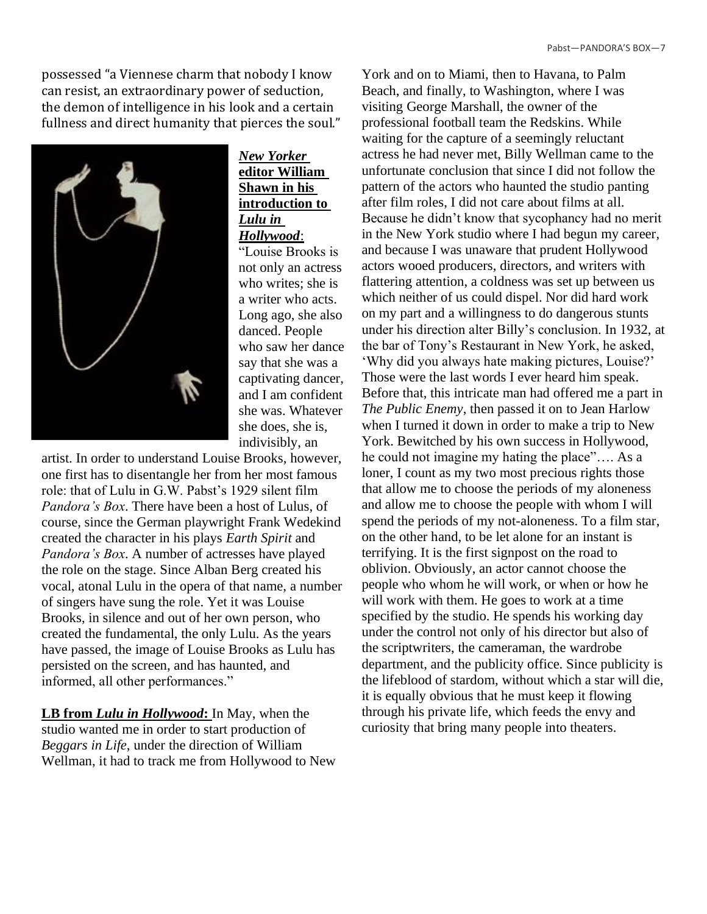possessed "a Viennese charm that nobody I know can resist, an extraordinary power of seduction, the demon of intelligence in his look and a certain fullness and direct humanity that pierces the soul."



## *New Yorker* **editor William Shawn in his introduction to**  *Lulu in Hollywood*:

"Louise Brooks is not only an actress who writes; she is a writer who acts. Long ago, she also danced. People who saw her dance say that she was a captivating dancer, and I am confident she was. Whatever she does, she is, indivisibly, an

artist. In order to understand Louise Brooks, however, one first has to disentangle her from her most famous role: that of Lulu in G.W. Pabst's 1929 silent film *Pandora's Box*. There have been a host of Lulus, of course, since the German playwright Frank Wedekind created the character in his plays *Earth Spirit* and *Pandora's Box*. A number of actresses have played the role on the stage. Since Alban Berg created his vocal, atonal Lulu in the opera of that name, a number of singers have sung the role. Yet it was Louise Brooks, in silence and out of her own person, who created the fundamental, the only Lulu. As the years have passed, the image of Louise Brooks as Lulu has persisted on the screen, and has haunted, and informed, all other performances."

**LB from** *Lulu in Hollywood***:** In May, when the studio wanted me in order to start production of *Beggars in Life*, under the direction of William Wellman, it had to track me from Hollywood to New

York and on to Miami, then to Havana, to Palm Beach, and finally, to Washington, where I was visiting George Marshall, the owner of the professional football team the Redskins. While waiting for the capture of a seemingly reluctant actress he had never met, Billy Wellman came to the unfortunate conclusion that since I did not follow the pattern of the actors who haunted the studio panting after film roles, I did not care about films at all. Because he didn't know that sycophancy had no merit in the New York studio where I had begun my career, and because I was unaware that prudent Hollywood actors wooed producers, directors, and writers with flattering attention, a coldness was set up between us which neither of us could dispel. Nor did hard work on my part and a willingness to do dangerous stunts under his direction alter Billy's conclusion. In 1932, at the bar of Tony's Restaurant in New York, he asked, 'Why did you always hate making pictures, Louise?' Those were the last words I ever heard him speak. Before that, this intricate man had offered me a part in *The Public Enemy*, then passed it on to Jean Harlow when I turned it down in order to make a trip to New York. Bewitched by his own success in Hollywood, he could not imagine my hating the place"…. As a loner, I count as my two most precious rights those that allow me to choose the periods of my aloneness and allow me to choose the people with whom I will spend the periods of my not-aloneness. To a film star, on the other hand, to be let alone for an instant is terrifying. It is the first signpost on the road to oblivion. Obviously, an actor cannot choose the people who whom he will work, or when or how he will work with them. He goes to work at a time specified by the studio. He spends his working day under the control not only of his director but also of the scriptwriters, the cameraman, the wardrobe department, and the publicity office. Since publicity is the lifeblood of stardom, without which a star will die, it is equally obvious that he must keep it flowing through his private life, which feeds the envy and curiosity that bring many people into theaters.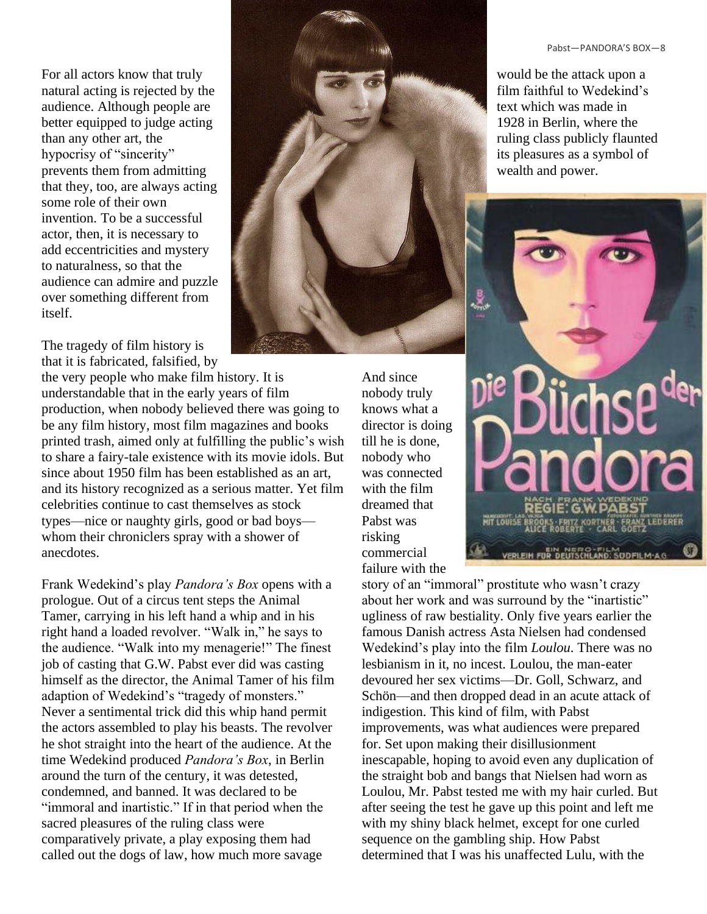For all actors know that truly natural acting is rejected by the audience. Although people are better equipped to judge acting than any other art, the hypocrisy of "sincerity" prevents them from admitting that they, too, are always acting some role of their own invention. To be a successful actor, then, it is necessary to add eccentricities and mystery to naturalness, so that the audience can admire and puzzle over something different from itself.

The tragedy of film history is that it is fabricated, falsified, by

the very people who make film history. It is understandable that in the early years of film production, when nobody believed there was going to be any film history, most film magazines and books printed trash, aimed only at fulfilling the public's wish to share a fairy-tale existence with its movie idols. But since about 1950 film has been established as an art, and its history recognized as a serious matter. Yet film celebrities continue to cast themselves as stock types—nice or naughty girls, good or bad boys whom their chroniclers spray with a shower of anecdotes.

Frank Wedekind's play *Pandora's Box* opens with a prologue. Out of a circus tent steps the Animal Tamer, carrying in his left hand a whip and in his right hand a loaded revolver. "Walk in," he says to the audience. "Walk into my menagerie!" The finest job of casting that G.W. Pabst ever did was casting himself as the director, the Animal Tamer of his film adaption of Wedekind's "tragedy of monsters." Never a sentimental trick did this whip hand permit the actors assembled to play his beasts. The revolver he shot straight into the heart of the audience. At the time Wedekind produced *Pandora's Box*, in Berlin around the turn of the century, it was detested, condemned, and banned. It was declared to be "immoral and inartistic." If in that period when the sacred pleasures of the ruling class were comparatively private, a play exposing them had called out the dogs of law, how much more savage



And since nobody truly knows what a director is doing till he is done, nobody who was connected with the film dreamed that Pabst was risking commercial failure with the

#### Pabst—PANDORA'S BOX—8

would be the attack upon a film faithful to Wedekind's text which was made in 1928 in Berlin, where the ruling class publicly flaunted its pleasures as a symbol of wealth and power.



story of an "immoral" prostitute who wasn't crazy about her work and was surround by the "inartistic" ugliness of raw bestiality. Only five years earlier the famous Danish actress Asta Nielsen had condensed Wedekind's play into the film *Loulou*. There was no lesbianism in it, no incest. Loulou, the man-eater devoured her sex victims—Dr. Goll, Schwarz, and Schön—and then dropped dead in an acute attack of indigestion. This kind of film, with Pabst improvements, was what audiences were prepared for. Set upon making their disillusionment inescapable, hoping to avoid even any duplication of the straight bob and bangs that Nielsen had worn as Loulou, Mr. Pabst tested me with my hair curled. But after seeing the test he gave up this point and left me with my shiny black helmet, except for one curled sequence on the gambling ship. How Pabst determined that I was his unaffected Lulu, with the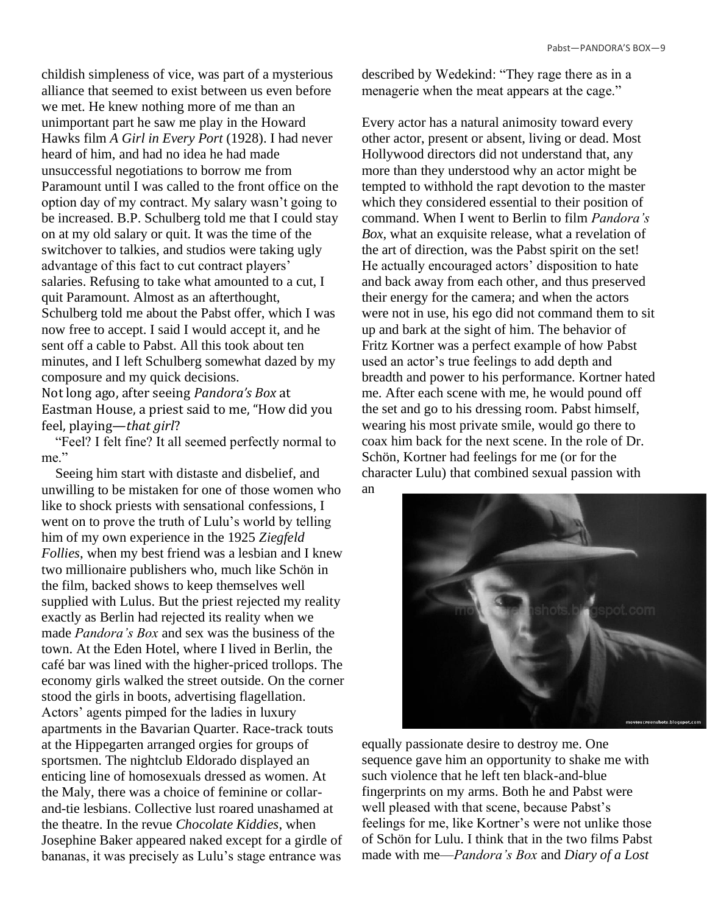childish simpleness of vice, was part of a mysterious alliance that seemed to exist between us even before we met. He knew nothing more of me than an unimportant part he saw me play in the Howard Hawks film *A Girl in Every Port* (1928). I had never heard of him, and had no idea he had made unsuccessful negotiations to borrow me from Paramount until I was called to the front office on the option day of my contract. My salary wasn't going to be increased. B.P. Schulberg told me that I could stay on at my old salary or quit. It was the time of the switchover to talkies, and studios were taking ugly advantage of this fact to cut contract players' salaries. Refusing to take what amounted to a cut, I quit Paramount. Almost as an afterthought, Schulberg told me about the Pabst offer, which I was now free to accept. I said I would accept it, and he sent off a cable to Pabst. All this took about ten minutes, and I left Schulberg somewhat dazed by my composure and my quick decisions. Not long ago, after seeing *Pandora's Box* at Eastman House, a priest said to me, "How did you feel, playing—*that girl*?

 "Feel? I felt fine? It all seemed perfectly normal to me."

 Seeing him start with distaste and disbelief, and unwilling to be mistaken for one of those women who like to shock priests with sensational confessions, I went on to prove the truth of Lulu's world by telling him of my own experience in the 1925 *Ziegfeld Follies*, when my best friend was a lesbian and I knew two millionaire publishers who, much like Schön in the film, backed shows to keep themselves well supplied with Lulus. But the priest rejected my reality exactly as Berlin had rejected its reality when we made *Pandora's Box* and sex was the business of the town. At the Eden Hotel, where I lived in Berlin, the café bar was lined with the higher-priced trollops. The economy girls walked the street outside. On the corner stood the girls in boots, advertising flagellation. Actors' agents pimped for the ladies in luxury apartments in the Bavarian Quarter. Race-track touts at the Hippegarten arranged orgies for groups of sportsmen. The nightclub Eldorado displayed an enticing line of homosexuals dressed as women. At the Maly, there was a choice of feminine or collarand-tie lesbians. Collective lust roared unashamed at the theatre. In the revue *Chocolate Kiddies*, when Josephine Baker appeared naked except for a girdle of bananas, it was precisely as Lulu's stage entrance was

described by Wedekind: "They rage there as in a menagerie when the meat appears at the cage."

Every actor has a natural animosity toward every other actor, present or absent, living or dead. Most Hollywood directors did not understand that, any more than they understood why an actor might be tempted to withhold the rapt devotion to the master which they considered essential to their position of command. When I went to Berlin to film *Pandora's Box*, what an exquisite release, what a revelation of the art of direction, was the Pabst spirit on the set! He actually encouraged actors' disposition to hate and back away from each other, and thus preserved their energy for the camera; and when the actors were not in use, his ego did not command them to sit up and bark at the sight of him. The behavior of Fritz Kortner was a perfect example of how Pabst used an actor's true feelings to add depth and breadth and power to his performance. Kortner hated me. After each scene with me, he would pound off the set and go to his dressing room. Pabst himself, wearing his most private smile, would go there to coax him back for the next scene. In the role of Dr. Schön, Kortner had feelings for me (or for the character Lulu) that combined sexual passion with an



equally passionate desire to destroy me. One sequence gave him an opportunity to shake me with such violence that he left ten black-and-blue fingerprints on my arms. Both he and Pabst were well pleased with that scene, because Pabst's feelings for me, like Kortner's were not unlike those of Schön for Lulu. I think that in the two films Pabst made with me—*Pandora's Box* and *Diary of a Lost*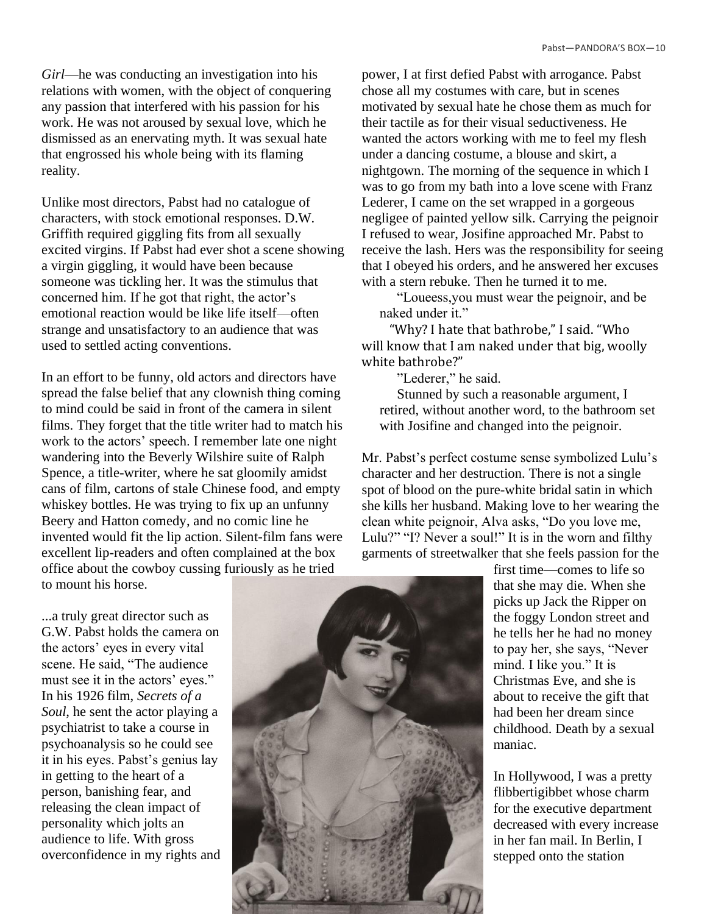*Girl*—he was conducting an investigation into his relations with women, with the object of conquering any passion that interfered with his passion for his work. He was not aroused by sexual love, which he dismissed as an enervating myth. It was sexual hate that engrossed his whole being with its flaming reality.

Unlike most directors, Pabst had no catalogue of characters, with stock emotional responses. D.W. Griffith required giggling fits from all sexually excited virgins. If Pabst had ever shot a scene showing a virgin giggling, it would have been because someone was tickling her. It was the stimulus that concerned him. If he got that right, the actor's emotional reaction would be like life itself—often strange and unsatisfactory to an audience that was used to settled acting conventions.

In an effort to be funny, old actors and directors have spread the false belief that any clownish thing coming to mind could be said in front of the camera in silent films. They forget that the title writer had to match his work to the actors' speech. I remember late one night wandering into the Beverly Wilshire suite of Ralph Spence, a title-writer, where he sat gloomily amidst cans of film, cartons of stale Chinese food, and empty whiskey bottles. He was trying to fix up an unfunny Beery and Hatton comedy, and no comic line he invented would fit the lip action. Silent-film fans were excellent lip-readers and often complained at the box office about the cowboy cussing furiously as he tried to mount his horse.

power, I at first defied Pabst with arrogance. Pabst chose all my costumes with care, but in scenes motivated by sexual hate he chose them as much for their tactile as for their visual seductiveness. He wanted the actors working with me to feel my flesh under a dancing costume, a blouse and skirt, a nightgown. The morning of the sequence in which I was to go from my bath into a love scene with Franz Lederer, I came on the set wrapped in a gorgeous negligee of painted yellow silk. Carrying the peignoir I refused to wear, Josifine approached Mr. Pabst to receive the lash. Hers was the responsibility for seeing that I obeyed his orders, and he answered her excuses with a stern rebuke. Then he turned it to me.

 "Loueess,you must wear the peignoir, and be naked under it."

 "Why? I hate that bathrobe," I said. "Who will know that I am naked under that big, woolly white bathrobe?"

"Lederer," he said.

 Stunned by such a reasonable argument, I retired, without another word, to the bathroom set with Josifine and changed into the peignoir.

Mr. Pabst's perfect costume sense symbolized Lulu's character and her destruction. There is not a single spot of blood on the pure-white bridal satin in which she kills her husband. Making love to her wearing the clean white peignoir, Alva asks, "Do you love me, Lulu?" "I? Never a soul!" It is in the worn and filthy garments of streetwalker that she feels passion for the

...a truly great director such as G.W. Pabst holds the camera on the actors' eyes in every vital scene. He said, "The audience must see it in the actors' eyes." In his 1926 film, *Secrets of a Soul*, he sent the actor playing a psychiatrist to take a course in psychoanalysis so he could see it in his eyes. Pabst's genius lay in getting to the heart of a person, banishing fear, and releasing the clean impact of personality which jolts an audience to life. With gross overconfidence in my rights and



first time—comes to life so that she may die. When she picks up Jack the Ripper on the foggy London street and he tells her he had no money to pay her, she says, "Never mind. I like you." It is Christmas Eve, and she is about to receive the gift that had been her dream since childhood. Death by a sexual maniac.

In Hollywood, I was a pretty flibbertigibbet whose charm for the executive department decreased with every increase in her fan mail. In Berlin, I stepped onto the station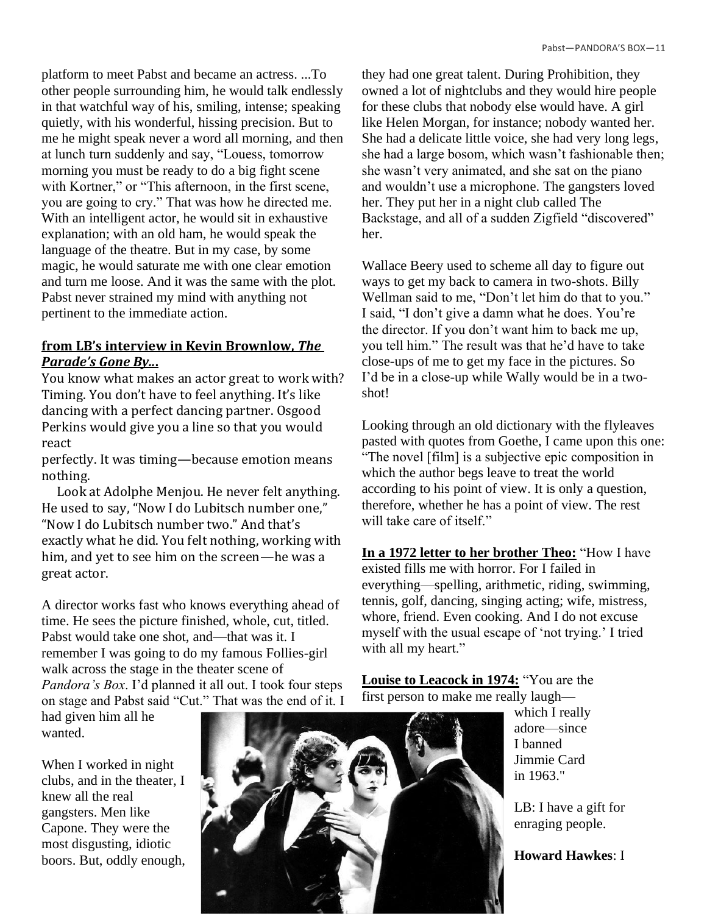platform to meet Pabst and became an actress. ...To other people surrounding him, he would talk endlessly in that watchful way of his, smiling, intense; speaking quietly, with his wonderful, hissing precision. But to me he might speak never a word all morning, and then at lunch turn suddenly and say, "Louess, tomorrow morning you must be ready to do a big fight scene with Kortner," or "This afternoon, in the first scene, you are going to cry." That was how he directed me. With an intelligent actor, he would sit in exhaustive explanation; with an old ham, he would speak the language of the theatre. But in my case, by some magic, he would saturate me with one clear emotion and turn me loose. And it was the same with the plot. Pabst never strained my mind with anything not pertinent to the immediate action.

## **from LB's interview in Kevin Brownlow,** *The Parade's Gone By..***.**

You know what makes an actor great to work with? Timing. You don't have to feel anything. It's like dancing with a perfect dancing partner. Osgood Perkins would give you a line so that you would react

perfectly. It was timing—because emotion means nothing.

 Look at Adolphe Menjou. He never felt anything. He used to say, "Now I do Lubitsch number one," "Now I do Lubitsch number two." And that's exactly what he did. You felt nothing, working with him, and yet to see him on the screen—he was a great actor.

A director works fast who knows everything ahead of time. He sees the picture finished, whole, cut, titled. Pabst would take one shot, and—that was it. I remember I was going to do my famous Follies-girl walk across the stage in the theater scene of *Pandora's Box*. I'd planned it all out. I took four steps on stage and Pabst said "Cut." That was the end of it. I Pabst—PANDORA'S BOX—11

they had one great talent. During Prohibition, they owned a lot of nightclubs and they would hire people for these clubs that nobody else would have. A girl like Helen Morgan, for instance; nobody wanted her. She had a delicate little voice, she had very long legs, she had a large bosom, which wasn't fashionable then; she wasn't very animated, and she sat on the piano and wouldn't use a microphone. The gangsters loved her. They put her in a night club called The Backstage, and all of a sudden Zigfield "discovered" her.

Wallace Beery used to scheme all day to figure out ways to get my back to camera in two-shots. Billy Wellman said to me, "Don't let him do that to you." I said, "I don't give a damn what he does. You're the director. If you don't want him to back me up, you tell him." The result was that he'd have to take close-ups of me to get my face in the pictures. So I'd be in a close-up while Wally would be in a twoshot!

Looking through an old dictionary with the flyleaves pasted with quotes from Goethe, I came upon this one: "The novel [film] is a subjective epic composition in which the author begs leave to treat the world according to his point of view. It is only a question, therefore, whether he has a point of view. The rest will take care of itself."

**In a 1972 letter to her brother Theo:** "How I have existed fills me with horror. For I failed in everything—spelling, arithmetic, riding, swimming, tennis, golf, dancing, singing acting; wife, mistress, whore, friend. Even cooking. And I do not excuse myself with the usual escape of 'not trying.' I tried with all my heart."

**Louise to Leacock in 1974:** "You are the first person to make me really laugh—

had given him all he wanted.

When I worked in night clubs, and in the theater, I knew all the real gangsters. Men like Capone. They were the most disgusting, idiotic boors. But, oddly enough,



which I really adore—since I banned Jimmie Card in 1963."

LB: I have a gift for enraging people.

**Howard Hawkes**: I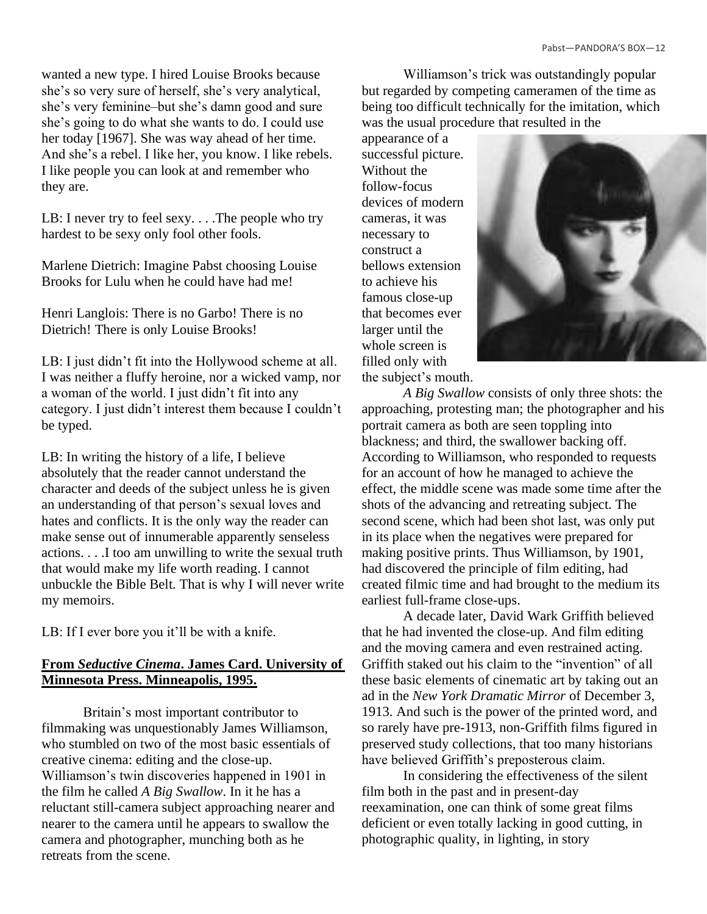wanted a new type. I hired Louise Brooks because she's so very sure of herself, she's very analytical, she's very feminine–but she's damn good and sure she's going to do what she wants to do. I could use her today [1967]. She was way ahead of her time. And she's a rebel. I like her, you know. I like rebels. I like people you can look at and remember who they are.

LB: I never try to feel sexy. . . .The people who try hardest to be sexy only fool other fools.

Marlene Dietrich: Imagine Pabst choosing Louise Brooks for Lulu when he could have had me!

Henri Langlois: There is no Garbo! There is no Dietrich! There is only Louise Brooks!

LB: I just didn't fit into the Hollywood scheme at all. I was neither a fluffy heroine, nor a wicked vamp, nor a woman of the world. I just didn't fit into any category. I just didn't interest them because I couldn't be typed.

LB: In writing the history of a life, I believe absolutely that the reader cannot understand the character and deeds of the subject unless he is given an understanding of that person's sexual loves and hates and conflicts. It is the only way the reader can make sense out of innumerable apparently senseless actions. . . .I too am unwilling to write the sexual truth that would make my life worth reading. I cannot unbuckle the Bible Belt. That is why I will never write my memoirs.

LB: If I ever bore you it'll be with a knife.

## **From** *Seductive Cinema***. James Card. University of Minnesota Press. Minneapolis, 1995.**

Britain's most important contributor to filmmaking was unquestionably James Williamson, who stumbled on two of the most basic essentials of creative cinema: editing and the close-up. Williamson's twin discoveries happened in 1901 in the film he called *A Big Swallow*. In it he has a reluctant still-camera subject approaching nearer and nearer to the camera until he appears to swallow the camera and photographer, munching both as he retreats from the scene.

Williamson's trick was outstandingly popular but regarded by competing cameramen of the time as being too difficult technically for the imitation, which was the usual procedure that resulted in the

appearance of a successful picture. Without the follow-focus devices of modern cameras, it was necessary to construct a bellows extension to achieve his famous close-up that becomes ever larger until the whole screen is filled only with the subject's mouth.



*A Big Swallow* consists of only three shots: the approaching, protesting man; the photographer and his portrait camera as both are seen toppling into blackness; and third, the swallower backing off. According to Williamson, who responded to requests for an account of how he managed to achieve the effect, the middle scene was made some time after the shots of the advancing and retreating subject. The second scene, which had been shot last, was only put in its place when the negatives were prepared for making positive prints. Thus Williamson, by 1901, had discovered the principle of film editing, had created filmic time and had brought to the medium its earliest full-frame close-ups.

A decade later, David Wark Griffith believed that he had invented the close-up. And film editing and the moving camera and even restrained acting. Griffith staked out his claim to the "invention" of all these basic elements of cinematic art by taking out an ad in the *New York Dramatic Mirror* of December 3, 1913. And such is the power of the printed word, and so rarely have pre-1913, non-Griffith films figured in preserved study collections, that too many historians have believed Griffith's preposterous claim.

In considering the effectiveness of the silent film both in the past and in present-day reexamination, one can think of some great films deficient or even totally lacking in good cutting, in photographic quality, in lighting, in story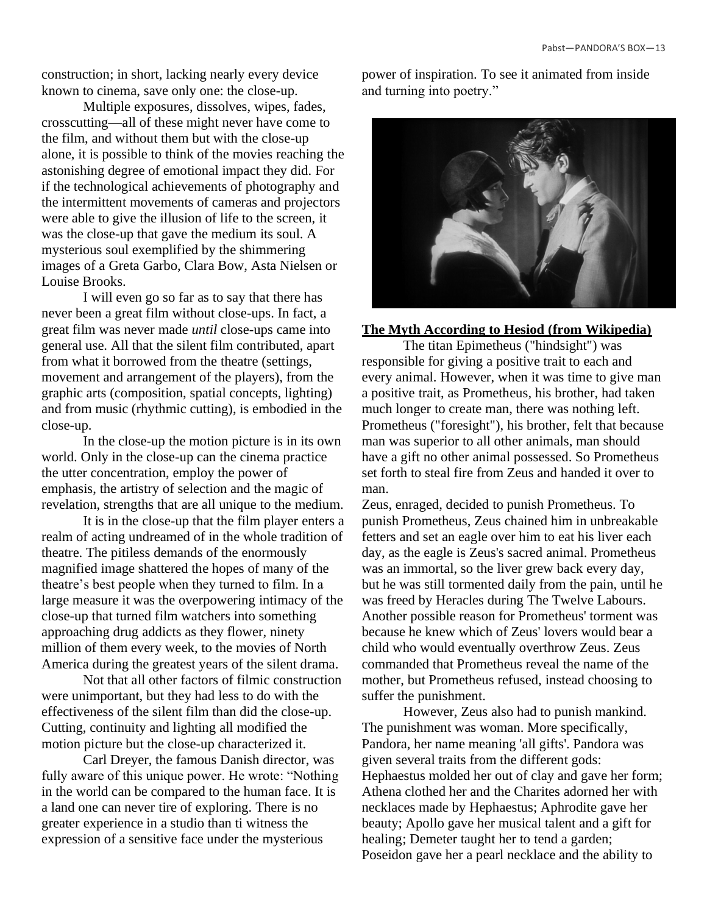construction; in short, lacking nearly every device known to cinema, save only one: the close-up.

Multiple exposures, dissolves, wipes, fades, crosscutting—all of these might never have come to the film, and without them but with the close-up alone, it is possible to think of the movies reaching the astonishing degree of emotional impact they did. For if the technological achievements of photography and the intermittent movements of cameras and projectors were able to give the illusion of life to the screen, it was the close-up that gave the medium its soul. A mysterious soul exemplified by the shimmering images of a Greta Garbo, Clara Bow, Asta Nielsen or Louise Brooks.

I will even go so far as to say that there has never been a great film without close-ups. In fact, a great film was never made *until* close-ups came into general use. All that the silent film contributed, apart from what it borrowed from the theatre (settings, movement and arrangement of the players), from the graphic arts (composition, spatial concepts, lighting) and from music (rhythmic cutting), is embodied in the close-up.

In the close-up the motion picture is in its own world. Only in the close-up can the cinema practice the utter concentration, employ the power of emphasis, the artistry of selection and the magic of revelation, strengths that are all unique to the medium.

It is in the close-up that the film player enters a realm of acting undreamed of in the whole tradition of theatre. The pitiless demands of the enormously magnified image shattered the hopes of many of the theatre's best people when they turned to film. In a large measure it was the overpowering intimacy of the close-up that turned film watchers into something approaching drug addicts as they flower, ninety million of them every week, to the movies of North America during the greatest years of the silent drama.

Not that all other factors of filmic construction were unimportant, but they had less to do with the effectiveness of the silent film than did the close-up. Cutting, continuity and lighting all modified the motion picture but the close-up characterized it.

Carl Dreyer, the famous Danish director, was fully aware of this unique power. He wrote: "Nothing in the world can be compared to the human face. It is a land one can never tire of exploring. There is no greater experience in a studio than ti witness the expression of a sensitive face under the mysterious

power of inspiration. To see it animated from inside and turning into poetry."



#### **The Myth According to Hesiod (from Wikipedia)**

The titan Epimetheus ("hindsight") was responsible for giving a positive trait to each and every animal. However, when it was time to give man a positive trait, as Prometheus, his brother, had taken much longer to create man, there was nothing left. Prometheus ("foresight"), his brother, felt that because man was superior to all other animals, man should have a gift no other animal possessed. So Prometheus set forth to steal fire from Zeus and handed it over to man.

Zeus, enraged, decided to punish Prometheus. To punish Prometheus, Zeus chained him in unbreakable fetters and set an eagle over him to eat his liver each day, as the eagle is Zeus's sacred animal. Prometheus was an immortal, so the liver grew back every day, but he was still tormented daily from the pain, until he was freed by Heracles during The Twelve Labours. Another possible reason for Prometheus' torment was because he knew which of Zeus' lovers would bear a child who would eventually overthrow Zeus. Zeus commanded that Prometheus reveal the name of the mother, but Prometheus refused, instead choosing to suffer the punishment.

However, Zeus also had to punish mankind. The punishment was woman. More specifically, Pandora, her name meaning 'all gifts'. Pandora was given several traits from the different gods: Hephaestus molded her out of clay and gave her form; Athena clothed her and the Charites adorned her with necklaces made by Hephaestus; Aphrodite gave her beauty; Apollo gave her musical talent and a gift for healing; Demeter taught her to tend a garden; Poseidon gave her a pearl necklace and the ability to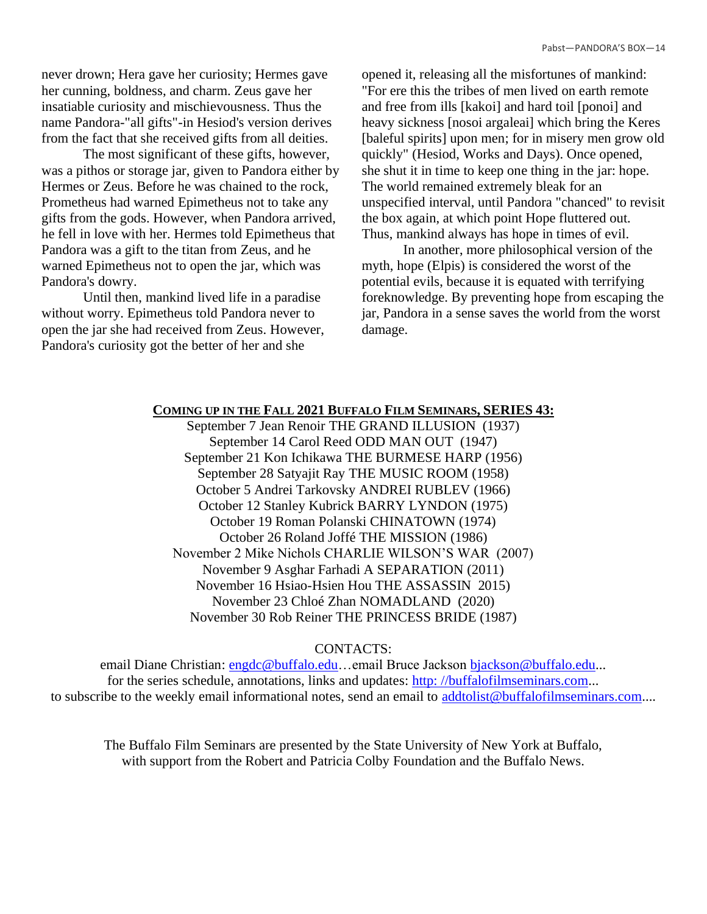never drown; Hera gave her curiosity; Hermes gave her cunning, boldness, and charm. Zeus gave her insatiable curiosity and mischievousness. Thus the name Pandora-"all gifts"-in Hesiod's version derives from the fact that she received gifts from all deities.

The most significant of these gifts, however, was a pithos or storage jar, given to Pandora either by Hermes or Zeus. Before he was chained to the rock, Prometheus had warned Epimetheus not to take any gifts from the gods. However, when Pandora arrived, he fell in love with her. Hermes told Epimetheus that Pandora was a gift to the titan from Zeus, and he warned Epimetheus not to open the jar, which was Pandora's dowry.

Until then, mankind lived life in a paradise without worry. Epimetheus told Pandora never to open the jar she had received from Zeus. However, Pandora's curiosity got the better of her and she

opened it, releasing all the misfortunes of mankind: "For ere this the tribes of men lived on earth remote and free from ills [kakoi] and hard toil [ponoi] and heavy sickness [nosoi argaleai] which bring the Keres [baleful spirits] upon men; for in misery men grow old quickly" (Hesiod, Works and Days). Once opened, she shut it in time to keep one thing in the jar: hope. The world remained extremely bleak for an unspecified interval, until Pandora "chanced" to revisit the box again, at which point Hope fluttered out. Thus, mankind always has hope in times of evil.

In another, more philosophical version of the myth, hope (Elpis) is considered the worst of the potential evils, because it is equated with terrifying foreknowledge. By preventing hope from escaping the jar, Pandora in a sense saves the world from the worst damage.

#### **COMING UP IN THE FALL 2021 BUFFALO FILM SEMINARS, SERIES 43:**

September 7 Jean Renoir THE GRAND ILLUSION (1937) September 14 Carol Reed ODD MAN OUT (1947) September 21 Kon Ichikawa THE BURMESE HARP (1956) September 28 Satyajit Ray THE MUSIC ROOM (1958) October 5 Andrei Tarkovsky ANDREI RUBLEV (1966) October 12 Stanley Kubrick BARRY LYNDON (1975) October 19 Roman Polanski CHINATOWN (1974) October 26 Roland Joffé THE MISSION (1986) November 2 Mike Nichols CHARLIE WILSON'S WAR (2007) November 9 Asghar Farhadi A SEPARATION (2011) November 16 Hsiao-Hsien Hou THE ASSASSIN 2015) November 23 Chloé Zhan NOMADLAND (2020) November 30 Rob Reiner THE PRINCESS BRIDE (1987)

#### CONTACTS:

email Diane Christian: engdc@buffalo.edu...email Bruce Jackson [bjackson@buffalo.edu.](mailto:bjackson@buffalo.edu).. for the series schedule, annotations, links and updates: [http: //buffalofilmseminars.com.](http://buffalofilmseminars.com/).. to subscribe to the weekly email informational notes, send an email to [addtolist@buffalofilmseminars.com.](mailto:addtolist@buffalofilmseminars.com)...

The Buffalo Film Seminars are presented by the State University of New York at Buffalo, with support from the Robert and Patricia Colby Foundation and the Buffalo News.